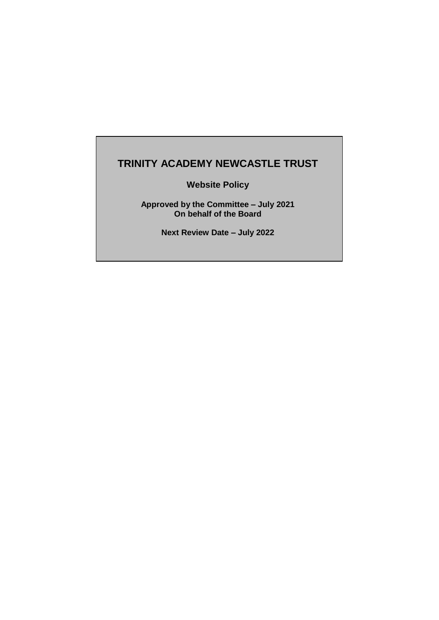# **TRINITY ACADEMY NEWCASTLE TRUST**

**Website Policy**

**Approved by the Committee – July 2021 On behalf of the Board**

**Next Review Date – July 2022**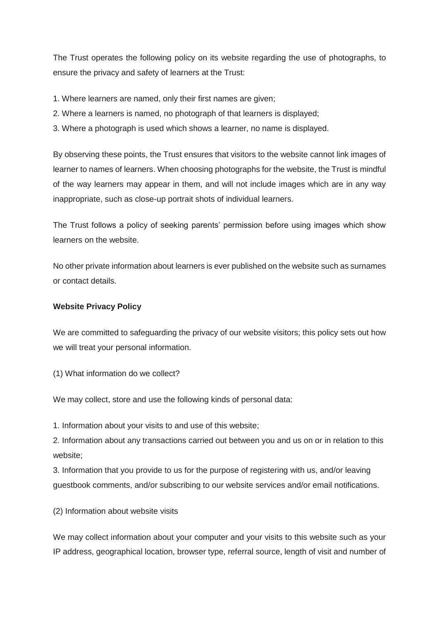The Trust operates the following policy on its website regarding the use of photographs, to ensure the privacy and safety of learners at the Trust:

- 1. Where learners are named, only their first names are given;
- 2. Where a learners is named, no photograph of that learners is displayed;
- 3. Where a photograph is used which shows a learner, no name is displayed.

By observing these points, the Trust ensures that visitors to the website cannot link images of learner to names of learners. When choosing photographs for the website, the Trust is mindful of the way learners may appear in them, and will not include images which are in any way inappropriate, such as close-up portrait shots of individual learners.

The Trust follows a policy of seeking parents' permission before using images which show learners on the website.

No other private information about learners is ever published on the website such as surnames or contact details.

#### **Website Privacy Policy**

We are committed to safeguarding the privacy of our website visitors; this policy sets out how we will treat your personal information.

(1) What information do we collect?

We may collect, store and use the following kinds of personal data:

1. Information about your visits to and use of this website;

2. Information about any transactions carried out between you and us on or in relation to this website;

3. Information that you provide to us for the purpose of registering with us, and/or leaving guestbook comments, and/or subscribing to our website services and/or email notifications.

(2) Information about website visits

We may collect information about your computer and your visits to this website such as your IP address, geographical location, browser type, referral source, length of visit and number of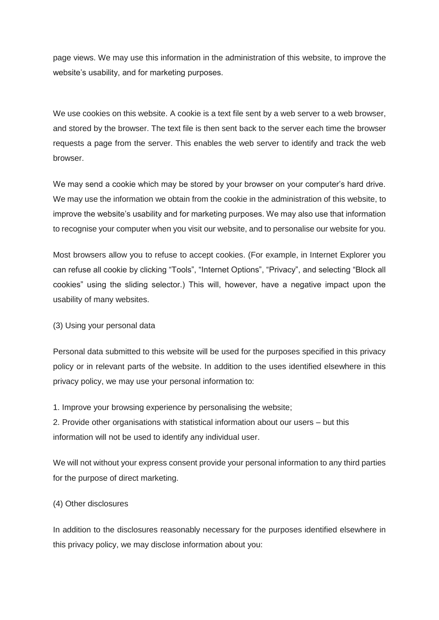page views. We may use this information in the administration of this website, to improve the website's usability, and for marketing purposes.

We use cookies on this website. A cookie is a text file sent by a web server to a web browser, and stored by the browser. The text file is then sent back to the server each time the browser requests a page from the server. This enables the web server to identify and track the web browser.

We may send a cookie which may be stored by your browser on your computer's hard drive. We may use the information we obtain from the cookie in the administration of this website, to improve the website's usability and for marketing purposes. We may also use that information to recognise your computer when you visit our website, and to personalise our website for you.

Most browsers allow you to refuse to accept cookies. (For example, in Internet Explorer you can refuse all cookie by clicking "Tools", "Internet Options", "Privacy", and selecting "Block all cookies" using the sliding selector.) This will, however, have a negative impact upon the usability of many websites.

#### (3) Using your personal data

Personal data submitted to this website will be used for the purposes specified in this privacy policy or in relevant parts of the website. In addition to the uses identified elsewhere in this privacy policy, we may use your personal information to:

1. Improve your browsing experience by personalising the website;

2. Provide other organisations with statistical information about our users – but this information will not be used to identify any individual user.

We will not without your express consent provide your personal information to any third parties for the purpose of direct marketing.

#### (4) Other disclosures

In addition to the disclosures reasonably necessary for the purposes identified elsewhere in this privacy policy, we may disclose information about you: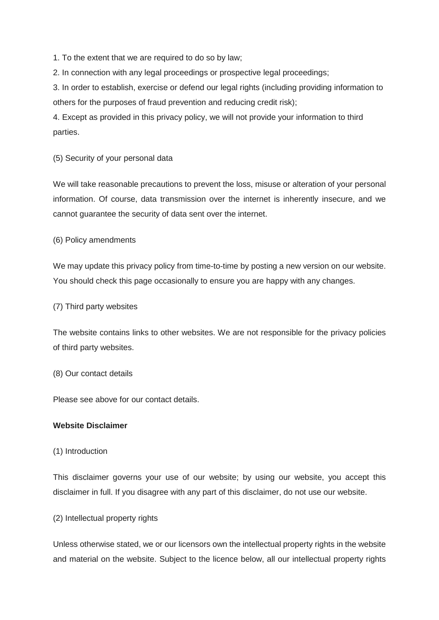1. To the extent that we are required to do so by law;

2. In connection with any legal proceedings or prospective legal proceedings;

3. In order to establish, exercise or defend our legal rights (including providing information to others for the purposes of fraud prevention and reducing credit risk);

4. Except as provided in this privacy policy, we will not provide your information to third parties.

### (5) Security of your personal data

We will take reasonable precautions to prevent the loss, misuse or alteration of your personal information. Of course, data transmission over the internet is inherently insecure, and we cannot guarantee the security of data sent over the internet.

(6) Policy amendments

We may update this privacy policy from time-to-time by posting a new version on our website. You should check this page occasionally to ensure you are happy with any changes.

#### (7) Third party websites

The website contains links to other websites. We are not responsible for the privacy policies of third party websites.

#### (8) Our contact details

Please see above for our contact details.

## **Website Disclaimer**

#### (1) Introduction

This disclaimer governs your use of our website; by using our website, you accept this disclaimer in full. If you disagree with any part of this disclaimer, do not use our website.

#### (2) Intellectual property rights

Unless otherwise stated, we or our licensors own the intellectual property rights in the website and material on the website. Subject to the licence below, all our intellectual property rights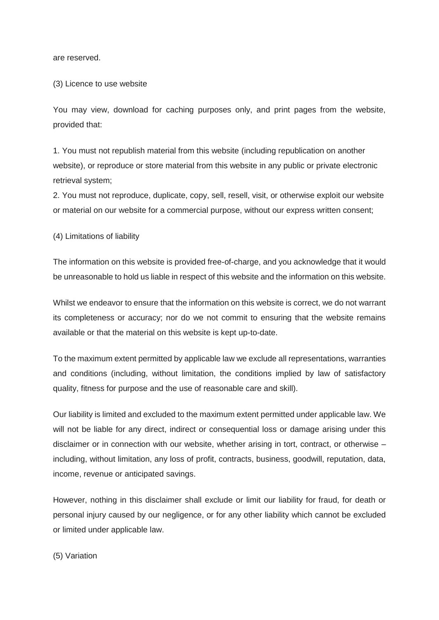are reserved.

#### (3) Licence to use website

You may view, download for caching purposes only, and print pages from the website, provided that:

1. You must not republish material from this website (including republication on another website), or reproduce or store material from this website in any public or private electronic retrieval system;

2. You must not reproduce, duplicate, copy, sell, resell, visit, or otherwise exploit our website or material on our website for a commercial purpose, without our express written consent;

(4) Limitations of liability

The information on this website is provided free-of-charge, and you acknowledge that it would be unreasonable to hold us liable in respect of this website and the information on this website.

Whilst we endeavor to ensure that the information on this website is correct, we do not warrant its completeness or accuracy; nor do we not commit to ensuring that the website remains available or that the material on this website is kept up-to-date.

To the maximum extent permitted by applicable law we exclude all representations, warranties and conditions (including, without limitation, the conditions implied by law of satisfactory quality, fitness for purpose and the use of reasonable care and skill).

Our liability is limited and excluded to the maximum extent permitted under applicable law. We will not be liable for any direct, indirect or consequential loss or damage arising under this disclaimer or in connection with our website, whether arising in tort, contract, or otherwise – including, without limitation, any loss of profit, contracts, business, goodwill, reputation, data, income, revenue or anticipated savings.

However, nothing in this disclaimer shall exclude or limit our liability for fraud, for death or personal injury caused by our negligence, or for any other liability which cannot be excluded or limited under applicable law.

(5) Variation